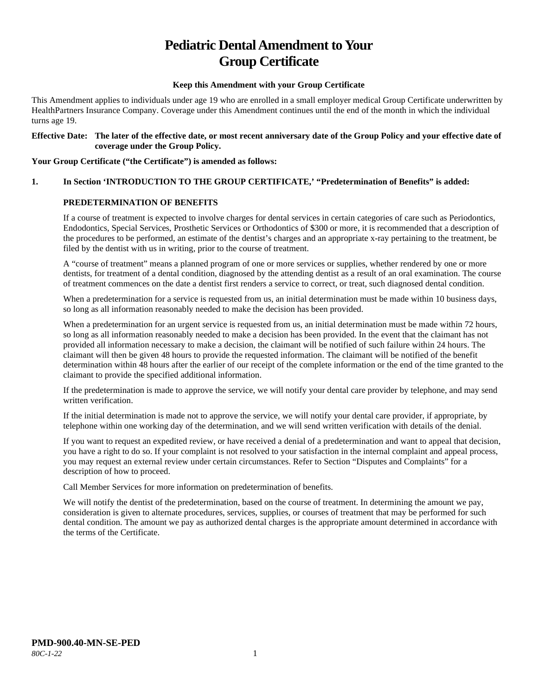# **Pediatric Dental Amendment to Your Group Certificate**

#### **Keep this Amendment with your Group Certificate**

This Amendment applies to individuals under age 19 who are enrolled in a small employer medical Group Certificate underwritten by HealthPartners Insurance Company. Coverage under this Amendment continues until the end of the month in which the individual turns age 19.

#### **Effective Date: The later of the effective date, or most recent anniversary date of the Group Policy and your effective date of coverage under the Group Policy.**

#### **Your Group Certificate ("the Certificate") is amended as follows:**

## **1. In Section 'INTRODUCTION TO THE GROUP CERTIFICATE,' "Predetermination of Benefits" is added:**

## **PREDETERMINATION OF BENEFITS**

If a course of treatment is expected to involve charges for dental services in certain categories of care such as Periodontics, Endodontics, Special Services, Prosthetic Services or Orthodontics of \$300 or more, it is recommended that a description of the procedures to be performed, an estimate of the dentist's charges and an appropriate x-ray pertaining to the treatment, be filed by the dentist with us in writing, prior to the course of treatment.

A "course of treatment" means a planned program of one or more services or supplies, whether rendered by one or more dentists, for treatment of a dental condition, diagnosed by the attending dentist as a result of an oral examination. The course of treatment commences on the date a dentist first renders a service to correct, or treat, such diagnosed dental condition.

When a predetermination for a service is requested from us, an initial determination must be made within 10 business days, so long as all information reasonably needed to make the decision has been provided.

When a predetermination for an urgent service is requested from us, an initial determination must be made within 72 hours, so long as all information reasonably needed to make a decision has been provided. In the event that the claimant has not provided all information necessary to make a decision, the claimant will be notified of such failure within 24 hours. The claimant will then be given 48 hours to provide the requested information. The claimant will be notified of the benefit determination within 48 hours after the earlier of our receipt of the complete information or the end of the time granted to the claimant to provide the specified additional information.

If the predetermination is made to approve the service, we will notify your dental care provider by telephone, and may send written verification.

If the initial determination is made not to approve the service, we will notify your dental care provider, if appropriate, by telephone within one working day of the determination, and we will send written verification with details of the denial.

If you want to request an expedited review, or have received a denial of a predetermination and want to appeal that decision, you have a right to do so. If your complaint is not resolved to your satisfaction in the internal complaint and appeal process, you may request an external review under certain circumstances. Refer to Section "Disputes and Complaints" for a description of how to proceed.

Call Member Services for more information on predetermination of benefits.

We will notify the dentist of the predetermination, based on the course of treatment. In determining the amount we pay, consideration is given to alternate procedures, services, supplies, or courses of treatment that may be performed for such dental condition. The amount we pay as authorized dental charges is the appropriate amount determined in accordance with the terms of the Certificate.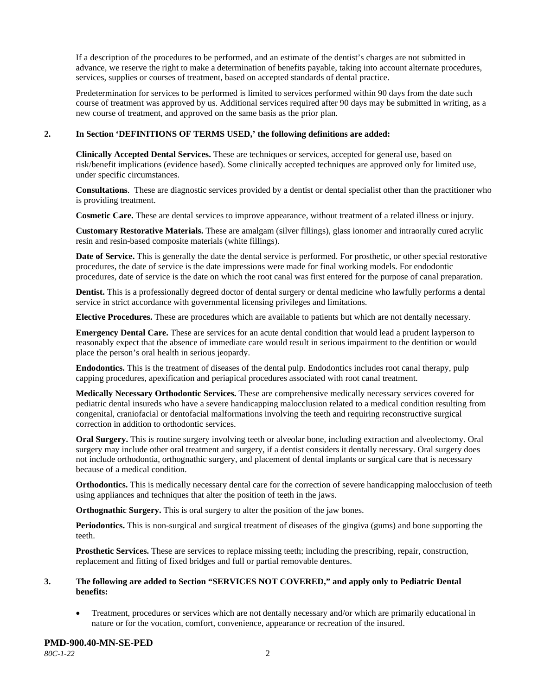If a description of the procedures to be performed, and an estimate of the dentist's charges are not submitted in advance, we reserve the right to make a determination of benefits payable, taking into account alternate procedures, services, supplies or courses of treatment, based on accepted standards of dental practice.

Predetermination for services to be performed is limited to services performed within 90 days from the date such course of treatment was approved by us. Additional services required after 90 days may be submitted in writing, as a new course of treatment, and approved on the same basis as the prior plan.

## **2. In Section 'DEFINITIONS OF TERMS USED,' the following definitions are added:**

**Clinically Accepted Dental Services.** These are techniques or services, accepted for general use, based on risk/benefit implications (evidence based). Some clinically accepted techniques are approved only for limited use, under specific circumstances.

**Consultations**. These are diagnostic services provided by a dentist or dental specialist other than the practitioner who is providing treatment.

**Cosmetic Care.** These are dental services to improve appearance, without treatment of a related illness or injury.

**Customary Restorative Materials.** These are amalgam (silver fillings), glass ionomer and intraorally cured acrylic resin and resin-based composite materials (white fillings).

**Date of Service.** This is generally the date the dental service is performed. For prosthetic, or other special restorative procedures, the date of service is the date impressions were made for final working models. For endodontic procedures, date of service is the date on which the root canal was first entered for the purpose of canal preparation.

**Dentist.** This is a professionally degreed doctor of dental surgery or dental medicine who lawfully performs a dental service in strict accordance with governmental licensing privileges and limitations.

**Elective Procedures.** These are procedures which are available to patients but which are not dentally necessary.

**Emergency Dental Care.** These are services for an acute dental condition that would lead a prudent layperson to reasonably expect that the absence of immediate care would result in serious impairment to the dentition or would place the person's oral health in serious jeopardy.

**Endodontics.** This is the treatment of diseases of the dental pulp. Endodontics includes root canal therapy, pulp capping procedures, apexification and periapical procedures associated with root canal treatment.

**Medically Necessary Orthodontic Services.** These are comprehensive medically necessary services covered for pediatric dental insureds who have a severe handicapping malocclusion related to a medical condition resulting from congenital, craniofacial or dentofacial malformations involving the teeth and requiring reconstructive surgical correction in addition to orthodontic services.

**Oral Surgery.** This is routine surgery involving teeth or alveolar bone, including extraction and alveolectomy. Oral surgery may include other oral treatment and surgery, if a dentist considers it dentally necessary. Oral surgery does not include orthodontia, orthognathic surgery, and placement of dental implants or surgical care that is necessary because of a medical condition.

**Orthodontics.** This is medically necessary dental care for the correction of severe handicapping malocclusion of teeth using appliances and techniques that alter the position of teeth in the jaws.

**Orthognathic Surgery.** This is oral surgery to alter the position of the jaw bones.

**Periodontics.** This is non-surgical and surgical treatment of diseases of the gingiva (gums) and bone supporting the teeth.

**Prosthetic Services.** These are services to replace missing teeth; including the prescribing, repair, construction, replacement and fitting of fixed bridges and full or partial removable dentures.

## **3. The following are added to Section "SERVICES NOT COVERED," and apply only to Pediatric Dental benefits:**

• Treatment, procedures or services which are not dentally necessary and/or which are primarily educational in nature or for the vocation, comfort, convenience, appearance or recreation of the insured.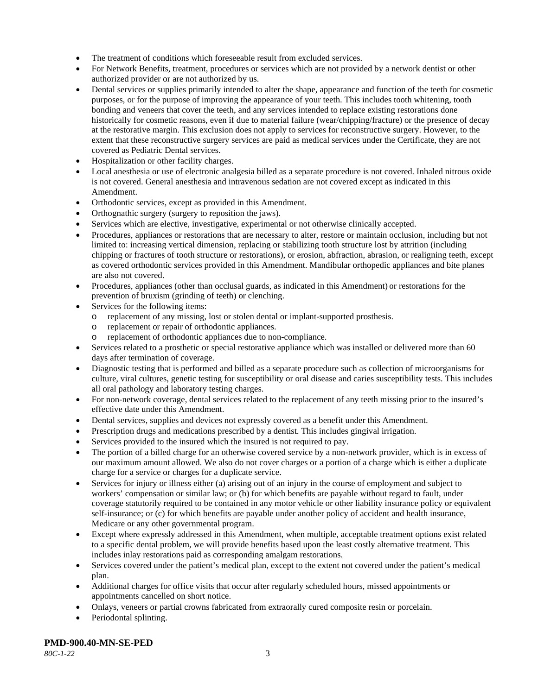- The treatment of conditions which foreseeable result from excluded services.
- For Network Benefits, treatment, procedures or services which are not provided by a network dentist or other authorized provider or are not authorized by us.
- Dental services or supplies primarily intended to alter the shape, appearance and function of the teeth for cosmetic purposes, or for the purpose of improving the appearance of your teeth. This includes tooth whitening, tooth bonding and veneers that cover the teeth, and any services intended to replace existing restorations done historically for cosmetic reasons, even if due to material failure (wear/chipping/fracture) or the presence of decay at the restorative margin. This exclusion does not apply to services for reconstructive surgery. However, to the extent that these reconstructive surgery services are paid as medical services under the Certificate, they are not covered as Pediatric Dental services.
- Hospitalization or other facility charges.
- Local anesthesia or use of electronic analgesia billed as a separate procedure is not covered. Inhaled nitrous oxide is not covered. General anesthesia and intravenous sedation are not covered except as indicated in this Amendment.
- Orthodontic services, except as provided in this Amendment.
- Orthognathic surgery (surgery to reposition the jaws).
- Services which are elective, investigative, experimental or not otherwise clinically accepted.
- Procedures, appliances or restorations that are necessary to alter, restore or maintain occlusion, including but not limited to: increasing vertical dimension, replacing or stabilizing tooth structure lost by attrition (including chipping or fractures of tooth structure or restorations), or erosion, abfraction, abrasion, or realigning teeth, except as covered orthodontic services provided in this Amendment. Mandibular orthopedic appliances and bite planes are also not covered.
- Procedures, appliances (other than occlusal guards, as indicated in this Amendment) or restorations for the prevention of bruxism (grinding of teeth) or clenching.
- Services for the following items:
	- o replacement of any missing, lost or stolen dental or implant-supported prosthesis.
	- o replacement or repair of orthodontic appliances.
	- replacement of orthodontic appliances due to non-compliance.
- Services related to a prosthetic or special restorative appliance which was installed or delivered more than 60 days after termination of coverage.
- Diagnostic testing that is performed and billed as a separate procedure such as collection of microorganisms for culture, viral cultures, genetic testing for susceptibility or oral disease and caries susceptibility tests. This includes all oral pathology and laboratory testing charges.
- For non-network coverage, dental services related to the replacement of any teeth missing prior to the insured's effective date under this Amendment.
- Dental services, supplies and devices not expressly covered as a benefit under this Amendment.
- Prescription drugs and medications prescribed by a dentist. This includes gingival irrigation.
- Services provided to the insured which the insured is not required to pay.
- The portion of a billed charge for an otherwise covered service by a non-network provider, which is in excess of our maximum amount allowed. We also do not cover charges or a portion of a charge which is either a duplicate charge for a service or charges for a duplicate service.
- Services for injury or illness either (a) arising out of an injury in the course of employment and subject to workers' compensation or similar law; or (b) for which benefits are payable without regard to fault, under coverage statutorily required to be contained in any motor vehicle or other liability insurance policy or equivalent self-insurance; or (c) for which benefits are payable under another policy of accident and health insurance, Medicare or any other governmental program.
- Except where expressly addressed in this Amendment, when multiple, acceptable treatment options exist related to a specific dental problem, we will provide benefits based upon the least costly alternative treatment. This includes inlay restorations paid as corresponding amalgam restorations.
- Services covered under the patient's medical plan, except to the extent not covered under the patient's medical plan.
- Additional charges for office visits that occur after regularly scheduled hours, missed appointments or appointments cancelled on short notice.
- Onlays, veneers or partial crowns fabricated from extraorally cured composite resin or porcelain.
- Periodontal splinting.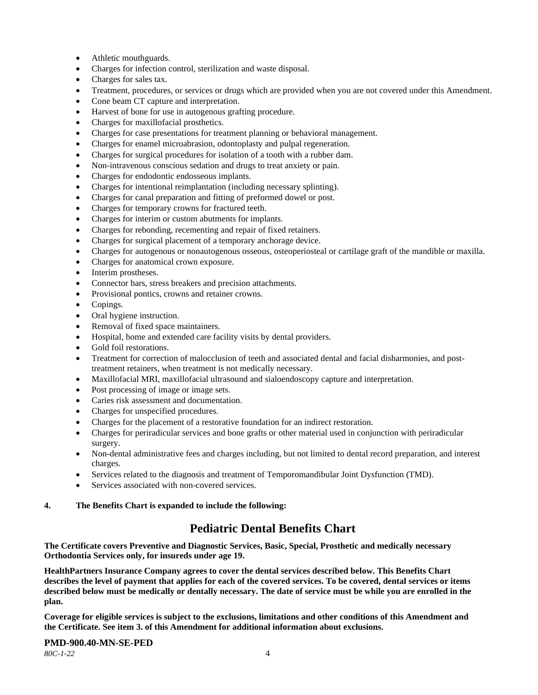- Athletic mouthguards.
- Charges for infection control, sterilization and waste disposal.
- Charges for sales tax.
- Treatment, procedures, or services or drugs which are provided when you are not covered under this Amendment.
- Cone beam CT capture and interpretation.
- Harvest of bone for use in autogenous grafting procedure.
- Charges for maxillofacial prosthetics.
- Charges for case presentations for treatment planning or behavioral management.
- Charges for enamel microabrasion, odontoplasty and pulpal regeneration.
- Charges for surgical procedures for isolation of a tooth with a rubber dam.
- Non-intravenous conscious sedation and drugs to treat anxiety or pain.
- Charges for endodontic endosseous implants.
- Charges for intentional reimplantation (including necessary splinting).
- Charges for canal preparation and fitting of preformed dowel or post.
- Charges for temporary crowns for fractured teeth.
- Charges for interim or custom abutments for implants.
- Charges for rebonding, recementing and repair of fixed retainers.
- Charges for surgical placement of a temporary anchorage device.
- Charges for autogenous or nonautogenous osseous, osteoperiosteal or cartilage graft of the mandible or maxilla.
- Charges for anatomical crown exposure.
- Interim prostheses.
- Connector bars, stress breakers and precision attachments.
- Provisional pontics, crowns and retainer crowns.
- Copings.
- Oral hygiene instruction.
- Removal of fixed space maintainers.
- Hospital, home and extended care facility visits by dental providers.
- Gold foil restorations.
- Treatment for correction of malocclusion of teeth and associated dental and facial disharmonies, and posttreatment retainers, when treatment is not medically necessary.
- Maxillofacial MRI, maxillofacial ultrasound and sialoendoscopy capture and interpretation.
- Post processing of image or image sets.
- Caries risk assessment and documentation.
- Charges for unspecified procedures.
- Charges for the placement of a restorative foundation for an indirect restoration.
- Charges for periradicular services and bone grafts or other material used in conjunction with periradicular surgery.
- Non-dental administrative fees and charges including, but not limited to dental record preparation, and interest charges.
- Services related to the diagnosis and treatment of Temporomandibular Joint Dysfunction (TMD).
- Services associated with non-covered services.

## **4. The Benefits Chart is expanded to include the following:**

## **Pediatric Dental Benefits Chart**

**The Certificate covers Preventive and Diagnostic Services, Basic, Special, Prosthetic and medically necessary Orthodontia Services only, for insureds under age 19.**

**HealthPartners Insurance Company agrees to cover the dental services described below. This Benefits Chart describes the level of payment that applies for each of the covered services. To be covered, dental services or items described below must be medically or dentally necessary. The date of service must be while you are enrolled in the plan.**

**Coverage for eligible services is subject to the exclusions, limitations and other conditions of this Amendment and the Certificate. See item 3. of this Amendment for additional information about exclusions.**

## **PMD-900.40-MN-SE-PED**

*80C-1-22* 4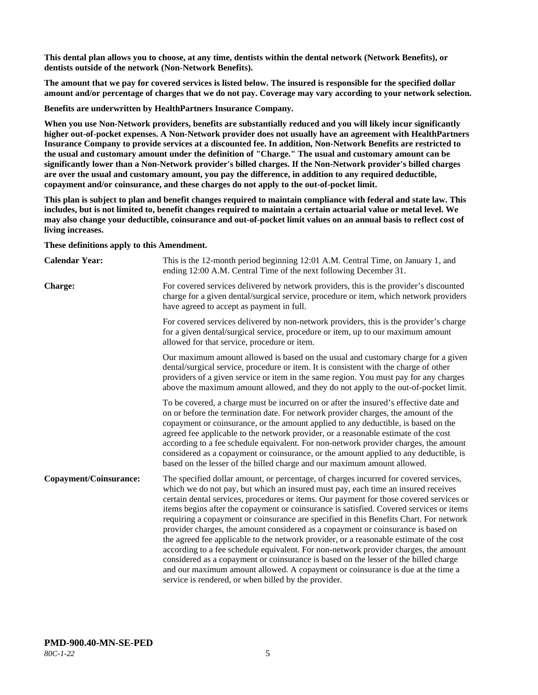**This dental plan allows you to choose, at any time, dentists within the dental network (Network Benefits), or dentists outside of the network (Non-Network Benefits).**

**The amount that we pay for covered services is listed below. The insured is responsible for the specified dollar amount and/or percentage of charges that we do not pay. Coverage may vary according to your network selection.**

**Benefits are underwritten by HealthPartners Insurance Company.**

**When you use Non-Network providers, benefits are substantially reduced and you will likely incur significantly higher out-of-pocket expenses. A Non-Network provider does not usually have an agreement with HealthPartners Insurance Company to provide services at a discounted fee. In addition, Non-Network Benefits are restricted to the usual and customary amount under the definition of "Charge." The usual and customary amount can be significantly lower than a Non-Network provider's billed charges. If the Non-Network provider's billed charges are over the usual and customary amount, you pay the difference, in addition to any required deductible, copayment and/or coinsurance, and these charges do not apply to the out-of-pocket limit.**

**This plan is subject to plan and benefit changes required to maintain compliance with federal and state law. This includes, but is not limited to, benefit changes required to maintain a certain actuarial value or metal level. We may also change your deductible, coinsurance and out-of-pocket limit values on an annual basis to reflect cost of living increases.**

**These definitions apply to this Amendment.**

| <b>Calendar Year:</b>  | This is the 12-month period beginning 12:01 A.M. Central Time, on January 1, and<br>ending 12:00 A.M. Central Time of the next following December 31.                                                                                                                                                                                                                                                                                                                                                                                                                                                                                                                                                                                                                                                                                                                                                                                                                 |
|------------------------|-----------------------------------------------------------------------------------------------------------------------------------------------------------------------------------------------------------------------------------------------------------------------------------------------------------------------------------------------------------------------------------------------------------------------------------------------------------------------------------------------------------------------------------------------------------------------------------------------------------------------------------------------------------------------------------------------------------------------------------------------------------------------------------------------------------------------------------------------------------------------------------------------------------------------------------------------------------------------|
| <b>Charge:</b>         | For covered services delivered by network providers, this is the provider's discounted<br>charge for a given dental/surgical service, procedure or item, which network providers<br>have agreed to accept as payment in full.                                                                                                                                                                                                                                                                                                                                                                                                                                                                                                                                                                                                                                                                                                                                         |
|                        | For covered services delivered by non-network providers, this is the provider's charge<br>for a given dental/surgical service, procedure or item, up to our maximum amount<br>allowed for that service, procedure or item.                                                                                                                                                                                                                                                                                                                                                                                                                                                                                                                                                                                                                                                                                                                                            |
|                        | Our maximum amount allowed is based on the usual and customary charge for a given<br>dental/surgical service, procedure or item. It is consistent with the charge of other<br>providers of a given service or item in the same region. You must pay for any charges<br>above the maximum amount allowed, and they do not apply to the out-of-pocket limit.                                                                                                                                                                                                                                                                                                                                                                                                                                                                                                                                                                                                            |
|                        | To be covered, a charge must be incurred on or after the insured's effective date and<br>on or before the termination date. For network provider charges, the amount of the<br>copayment or coinsurance, or the amount applied to any deductible, is based on the<br>agreed fee applicable to the network provider, or a reasonable estimate of the cost<br>according to a fee schedule equivalent. For non-network provider charges, the amount<br>considered as a copayment or coinsurance, or the amount applied to any deductible, is<br>based on the lesser of the billed charge and our maximum amount allowed.                                                                                                                                                                                                                                                                                                                                                 |
| Copayment/Coinsurance: | The specified dollar amount, or percentage, of charges incurred for covered services,<br>which we do not pay, but which an insured must pay, each time an insured receives<br>certain dental services, procedures or items. Our payment for those covered services or<br>items begins after the copayment or coinsurance is satisfied. Covered services or items<br>requiring a copayment or coinsurance are specified in this Benefits Chart. For network<br>provider charges, the amount considered as a copayment or coinsurance is based on<br>the agreed fee applicable to the network provider, or a reasonable estimate of the cost<br>according to a fee schedule equivalent. For non-network provider charges, the amount<br>considered as a copayment or coinsurance is based on the lesser of the billed charge<br>and our maximum amount allowed. A copayment or coinsurance is due at the time a<br>service is rendered, or when billed by the provider. |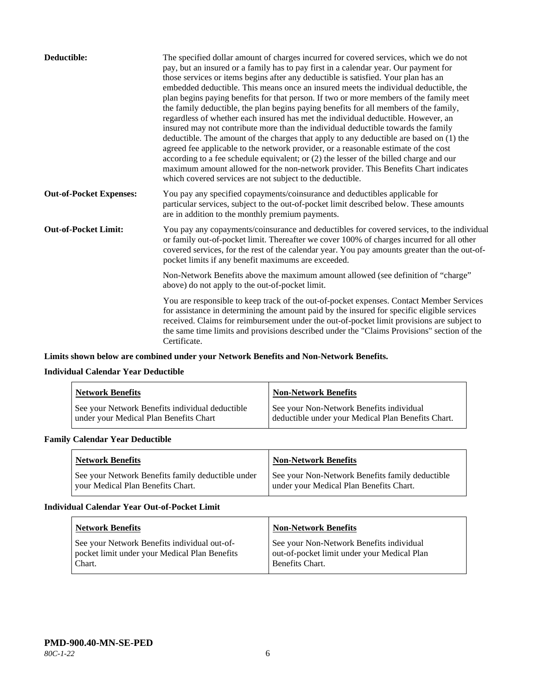| Deductible:                    | The specified dollar amount of charges incurred for covered services, which we do not<br>pay, but an insured or a family has to pay first in a calendar year. Our payment for<br>those services or items begins after any deductible is satisfied. Your plan has an<br>embedded deductible. This means once an insured meets the individual deductible, the<br>plan begins paying benefits for that person. If two or more members of the family meet<br>the family deductible, the plan begins paying benefits for all members of the family,<br>regardless of whether each insured has met the individual deductible. However, an<br>insured may not contribute more than the individual deductible towards the family<br>deductible. The amount of the charges that apply to any deductible are based on (1) the<br>agreed fee applicable to the network provider, or a reasonable estimate of the cost<br>according to a fee schedule equivalent; or (2) the lesser of the billed charge and our<br>maximum amount allowed for the non-network provider. This Benefits Chart indicates<br>which covered services are not subject to the deductible. |
|--------------------------------|---------------------------------------------------------------------------------------------------------------------------------------------------------------------------------------------------------------------------------------------------------------------------------------------------------------------------------------------------------------------------------------------------------------------------------------------------------------------------------------------------------------------------------------------------------------------------------------------------------------------------------------------------------------------------------------------------------------------------------------------------------------------------------------------------------------------------------------------------------------------------------------------------------------------------------------------------------------------------------------------------------------------------------------------------------------------------------------------------------------------------------------------------------|
| <b>Out-of-Pocket Expenses:</b> | You pay any specified copayments/coinsurance and deductibles applicable for<br>particular services, subject to the out-of-pocket limit described below. These amounts<br>are in addition to the monthly premium payments.                                                                                                                                                                                                                                                                                                                                                                                                                                                                                                                                                                                                                                                                                                                                                                                                                                                                                                                               |
| <b>Out-of-Pocket Limit:</b>    | You pay any copayments/coinsurance and deductibles for covered services, to the individual<br>or family out-of-pocket limit. Thereafter we cover 100% of charges incurred for all other<br>covered services, for the rest of the calendar year. You pay amounts greater than the out-of-<br>pocket limits if any benefit maximums are exceeded.                                                                                                                                                                                                                                                                                                                                                                                                                                                                                                                                                                                                                                                                                                                                                                                                         |
|                                | Non-Network Benefits above the maximum amount allowed (see definition of "charge"<br>above) do not apply to the out-of-pocket limit.                                                                                                                                                                                                                                                                                                                                                                                                                                                                                                                                                                                                                                                                                                                                                                                                                                                                                                                                                                                                                    |
|                                | You are responsible to keep track of the out-of-pocket expenses. Contact Member Services<br>for assistance in determining the amount paid by the insured for specific eligible services<br>received. Claims for reimbursement under the out-of-pocket limit provisions are subject to<br>the same time limits and provisions described under the "Claims Provisions" section of the<br>Certificate.                                                                                                                                                                                                                                                                                                                                                                                                                                                                                                                                                                                                                                                                                                                                                     |

## **Limits shown below are combined under your Network Benefits and Non-Network Benefits.**

## **Individual Calendar Year Deductible**

| <b>Network Benefits</b>                                                                   | Non-Network Benefits                                                                           |
|-------------------------------------------------------------------------------------------|------------------------------------------------------------------------------------------------|
| See your Network Benefits individual deductible<br>under your Medical Plan Benefits Chart | See your Non-Network Benefits individual<br>deductible under your Medical Plan Benefits Chart. |

## **Family Calendar Year Deductible**

| <b>Network Benefits</b>                                                                | <b>Non-Network Benefits</b>                                                                |
|----------------------------------------------------------------------------------------|--------------------------------------------------------------------------------------------|
| See your Network Benefits family deductible under<br>vour Medical Plan Benefits Chart. | See your Non-Network Benefits family deductible<br>under your Medical Plan Benefits Chart. |

## **Individual Calendar Year Out-of-Pocket Limit**

| <b>Network Benefits</b>                                                                                 | <b>Non-Network Benefits</b>                                                                                |
|---------------------------------------------------------------------------------------------------------|------------------------------------------------------------------------------------------------------------|
| See your Network Benefits individual out-of-<br>pocket limit under your Medical Plan Benefits<br>Chart. | See your Non-Network Benefits individual<br>out-of-pocket limit under your Medical Plan<br>Benefits Chart. |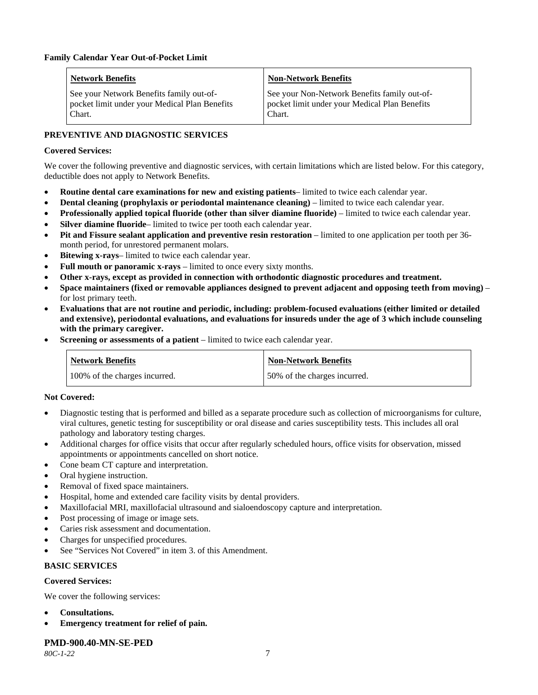| <b>Network Benefits</b>                                                                             | <b>Non-Network Benefits</b>                                                                             |
|-----------------------------------------------------------------------------------------------------|---------------------------------------------------------------------------------------------------------|
| See your Network Benefits family out-of-<br>pocket limit under your Medical Plan Benefits<br>Chart. | See your Non-Network Benefits family out-of-<br>pocket limit under your Medical Plan Benefits<br>Chart. |

## **PREVENTIVE AND DIAGNOSTIC SERVICES**

## **Covered Services:**

We cover the following preventive and diagnostic services, with certain limitations which are listed below. For this category, deductible does not apply to Network Benefits.

- **Routine dental care examinations for new and existing patients** limited to twice each calendar year.
- **Dental cleaning (prophylaxis or periodontal maintenance cleaning)** limited to twice each calendar year.
- **Professionally applied topical fluoride (other than silver diamine fluoride)** limited to twice each calendar year.
- **Silver diamine fluoride** limited to twice per tooth each calendar year.
- **Pit and Fissure sealant application and preventive resin restoration** limited to one application per tooth per 36 month period, for unrestored permanent molars.
- Bitewing x-rays- limited to twice each calendar year.
- Full mouth or panoramic x-rays limited to once every sixty months.
- **Other x-rays, except as provided in connection with orthodontic diagnostic procedures and treatment.**
- **Space maintainers (fixed or removable appliances designed to prevent adjacent and opposing teeth from moving)** for lost primary teeth.
- **Evaluations that are not routine and periodic, including: problem-focused evaluations (either limited or detailed and extensive), periodontal evaluations, and evaluations for insureds under the age of 3 which include counseling with the primary caregiver.**
- **Screening or assessments of a patient** limited to twice each calendar year.

| <b>Network Benefits</b>       | <b>Non-Network Benefits</b>  |
|-------------------------------|------------------------------|
| 100% of the charges incurred. | 50% of the charges incurred. |

## **Not Covered:**

- Diagnostic testing that is performed and billed as a separate procedure such as collection of microorganisms for culture, viral cultures, genetic testing for susceptibility or oral disease and caries susceptibility tests. This includes all oral pathology and laboratory testing charges.
- Additional charges for office visits that occur after regularly scheduled hours, office visits for observation, missed appointments or appointments cancelled on short notice.
- Cone beam CT capture and interpretation.
- Oral hygiene instruction.
- Removal of fixed space maintainers.
- Hospital, home and extended care facility visits by dental providers.
- Maxillofacial MRI, maxillofacial ultrasound and sialoendoscopy capture and interpretation.
- Post processing of image or image sets.
- Caries risk assessment and documentation.
- Charges for unspecified procedures.
- See "Services Not Covered" in item 3. of this Amendment.

## **BASIC SERVICES**

## **Covered Services:**

We cover the following services:

- **Consultations.**
- **Emergency treatment for relief of pain.**

## **PMD-900.40-MN-SE-PED**

*80C-1-22* 7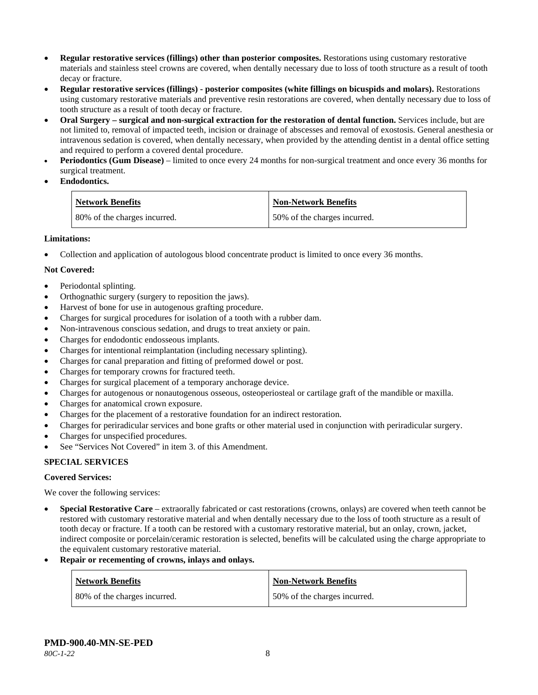- **Regular restorative services (fillings) other than posterior composites.** Restorations using customary restorative materials and stainless steel crowns are covered, when dentally necessary due to loss of tooth structure as a result of tooth decay or fracture.
- **Regular restorative services (fillings) - posterior composites (white fillings on bicuspids and molars).** Restorations using customary restorative materials and preventive resin restorations are covered, when dentally necessary due to loss of tooth structure as a result of tooth decay or fracture.
- **Oral Surgery – surgical and non-surgical extraction for the restoration of dental function.** Services include, but are not limited to, removal of impacted teeth, incision or drainage of abscesses and removal of exostosis. General anesthesia or intravenous sedation is covered, when dentally necessary, when provided by the attending dentist in a dental office setting and required to perform a covered dental procedure.
- **Periodontics (Gum Disease)** limited to once every 24 months for non-surgical treatment and once every 36 months for surgical treatment.
- **Endodontics.**

| <b>Network Benefits</b>      | Non-Network Benefits         |
|------------------------------|------------------------------|
| 80% of the charges incurred. | 50% of the charges incurred. |

## **Limitations:**

• Collection and application of autologous blood concentrate product is limited to once every 36 months.

## **Not Covered:**

- Periodontal splinting.
- Orthognathic surgery (surgery to reposition the jaws).
- Harvest of bone for use in autogenous grafting procedure.
- Charges for surgical procedures for isolation of a tooth with a rubber dam.
- Non-intravenous conscious sedation, and drugs to treat anxiety or pain.
- Charges for endodontic endosseous implants.
- Charges for intentional reimplantation (including necessary splinting).
- Charges for canal preparation and fitting of preformed dowel or post.
- Charges for temporary crowns for fractured teeth.
- Charges for surgical placement of a temporary anchorage device.
- Charges for autogenous or nonautogenous osseous, osteoperiosteal or cartilage graft of the mandible or maxilla.
- Charges for anatomical crown exposure.
- Charges for the placement of a restorative foundation for an indirect restoration.
- Charges for periradicular services and bone grafts or other material used in conjunction with periradicular surgery.
- Charges for unspecified procedures.
- See "Services Not Covered" in item 3. of this Amendment.

## **SPECIAL SERVICES**

## **Covered Services:**

We cover the following services:

- **Special Restorative Care** extraorally fabricated or cast restorations (crowns, onlays) are covered when teeth cannot be restored with customary restorative material and when dentally necessary due to the loss of tooth structure as a result of tooth decay or fracture. If a tooth can be restored with a customary restorative material, but an onlay, crown, jacket, indirect composite or porcelain/ceramic restoration is selected, benefits will be calculated using the charge appropriate to the equivalent customary restorative material.
- **Repair or recementing of crowns, inlays and onlays.**

| <b>Network Benefits</b>      | <b>Non-Network Benefits</b>  |
|------------------------------|------------------------------|
| 80% of the charges incurred. | 50% of the charges incurred. |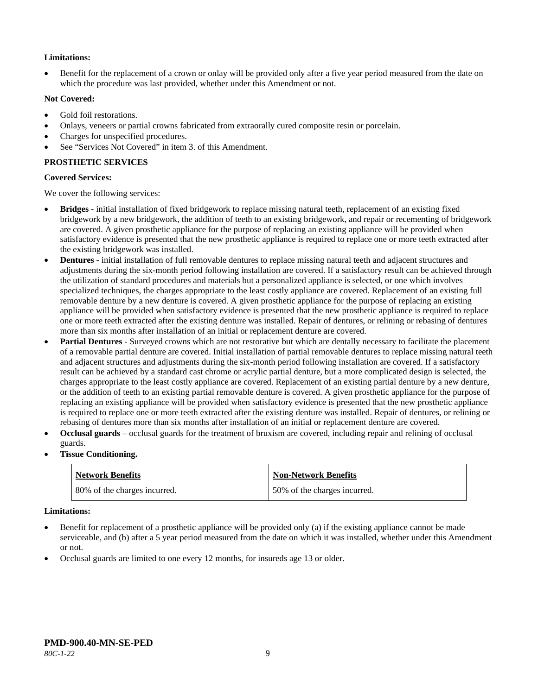## **Limitations:**

• Benefit for the replacement of a crown or onlay will be provided only after a five year period measured from the date on which the procedure was last provided, whether under this Amendment or not.

## **Not Covered:**

- Gold foil restorations.
- Onlays, veneers or partial crowns fabricated from extraorally cured composite resin or porcelain.
- Charges for unspecified procedures.
- See "Services Not Covered" in item 3. of this Amendment.

## **PROSTHETIC SERVICES**

## **Covered Services:**

We cover the following services:

- **Bridges** initial installation of fixed bridgework to replace missing natural teeth, replacement of an existing fixed bridgework by a new bridgework, the addition of teeth to an existing bridgework, and repair or recementing of bridgework are covered. A given prosthetic appliance for the purpose of replacing an existing appliance will be provided when satisfactory evidence is presented that the new prosthetic appliance is required to replace one or more teeth extracted after the existing bridgework was installed.
- **Dentures** initial installation of full removable dentures to replace missing natural teeth and adjacent structures and adjustments during the six-month period following installation are covered. If a satisfactory result can be achieved through the utilization of standard procedures and materials but a personalized appliance is selected, or one which involves specialized techniques, the charges appropriate to the least costly appliance are covered. Replacement of an existing full removable denture by a new denture is covered. A given prosthetic appliance for the purpose of replacing an existing appliance will be provided when satisfactory evidence is presented that the new prosthetic appliance is required to replace one or more teeth extracted after the existing denture was installed. Repair of dentures, or relining or rebasing of dentures more than six months after installation of an initial or replacement denture are covered.
- **Partial Dentures** Surveyed crowns which are not restorative but which are dentally necessary to facilitate the placement of a removable partial denture are covered. Initial installation of partial removable dentures to replace missing natural teeth and adjacent structures and adjustments during the six-month period following installation are covered. If a satisfactory result can be achieved by a standard cast chrome or acrylic partial denture, but a more complicated design is selected, the charges appropriate to the least costly appliance are covered. Replacement of an existing partial denture by a new denture, or the addition of teeth to an existing partial removable denture is covered. A given prosthetic appliance for the purpose of replacing an existing appliance will be provided when satisfactory evidence is presented that the new prosthetic appliance is required to replace one or more teeth extracted after the existing denture was installed. Repair of dentures, or relining or rebasing of dentures more than six months after installation of an initial or replacement denture are covered.
- **Occlusal guards** occlusal guards for the treatment of bruxism are covered, including repair and relining of occlusal guards.
- **Tissue Conditioning.**

| <b>Network Benefits</b>      | <b>Non-Network Benefits</b>  |
|------------------------------|------------------------------|
| 80% of the charges incurred. | 50% of the charges incurred. |

## **Limitations:**

- Benefit for replacement of a prosthetic appliance will be provided only (a) if the existing appliance cannot be made serviceable, and (b) after a 5 year period measured from the date on which it was installed, whether under this Amendment or not.
- Occlusal guards are limited to one every 12 months, for insureds age 13 or older.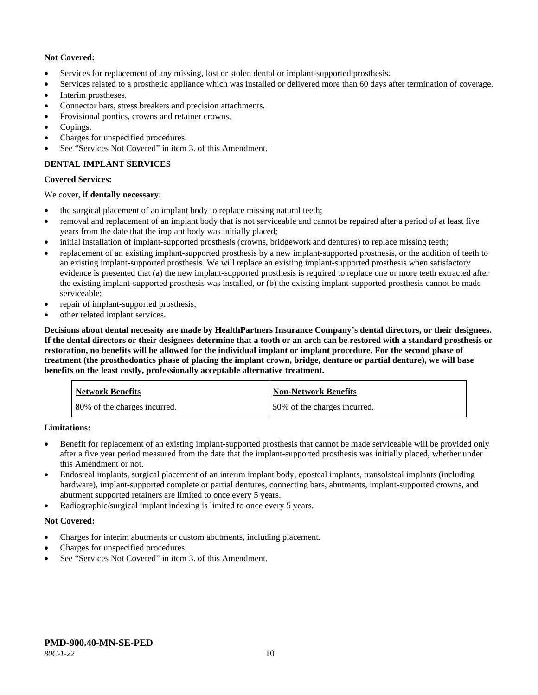## **Not Covered:**

- Services for replacement of any missing, lost or stolen dental or implant-supported prosthesis.
- Services related to a prosthetic appliance which was installed or delivered more than 60 days after termination of coverage.
- Interim prostheses.
- Connector bars, stress breakers and precision attachments.
- Provisional pontics, crowns and retainer crowns.
- Copings.
- Charges for unspecified procedures.
- See "Services Not Covered" in item 3. of this Amendment.

## **DENTAL IMPLANT SERVICES**

## **Covered Services:**

## We cover, **if dentally necessary**:

- the surgical placement of an implant body to replace missing natural teeth;
- removal and replacement of an implant body that is not serviceable and cannot be repaired after a period of at least five years from the date that the implant body was initially placed;
- initial installation of implant-supported prosthesis (crowns, bridgework and dentures) to replace missing teeth;
- replacement of an existing implant-supported prosthesis by a new implant-supported prosthesis, or the addition of teeth to an existing implant-supported prosthesis. We will replace an existing implant-supported prosthesis when satisfactory evidence is presented that (a) the new implant-supported prosthesis is required to replace one or more teeth extracted after the existing implant-supported prosthesis was installed, or (b) the existing implant-supported prosthesis cannot be made serviceable;
- repair of implant-supported prosthesis;
- other related implant services.

**Decisions about dental necessity are made by HealthPartners Insurance Company's dental directors, or their designees. If the dental directors or their designees determine that a tooth or an arch can be restored with a standard prosthesis or restoration, no benefits will be allowed for the individual implant or implant procedure. For the second phase of treatment (the prosthodontics phase of placing the implant crown, bridge, denture or partial denture), we will base benefits on the least costly, professionally acceptable alternative treatment.**

| <b>Network Benefits</b>      | <b>Non-Network Benefits</b>  |
|------------------------------|------------------------------|
| 80% of the charges incurred. | 50% of the charges incurred. |

## **Limitations:**

- Benefit for replacement of an existing implant-supported prosthesis that cannot be made serviceable will be provided only after a five year period measured from the date that the implant-supported prosthesis was initially placed, whether under this Amendment or not.
- Endosteal implants, surgical placement of an interim implant body, eposteal implants, transolsteal implants (including hardware), implant-supported complete or partial dentures, connecting bars, abutments, implant-supported crowns, and abutment supported retainers are limited to once every 5 years.
- Radiographic/surgical implant indexing is limited to once every 5 years.

## **Not Covered:**

- Charges for interim abutments or custom abutments, including placement.
- Charges for unspecified procedures.
- See "Services Not Covered" in item 3. of this Amendment.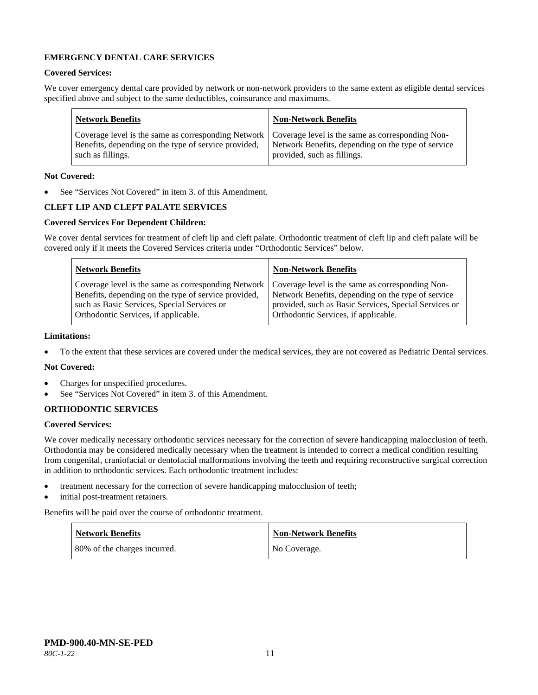## **EMERGENCY DENTAL CARE SERVICES**

## **Covered Services:**

We cover emergency dental care provided by network or non-network providers to the same extent as eligible dental services specified above and subject to the same deductibles, coinsurance and maximums.

| <b>Network Benefits</b>                                                                                                                                                                                                                | <b>Non-Network Benefits</b> |
|----------------------------------------------------------------------------------------------------------------------------------------------------------------------------------------------------------------------------------------|-----------------------------|
| Coverage level is the same as corresponding Network   Coverage level is the same as corresponding Non-<br>Benefits, depending on the type of service provided, Network Benefits, depending on the type of service<br>such as fillings. | provided, such as fillings. |

## **Not Covered:**

See "Services Not Covered" in item 3. of this Amendment.

## **CLEFT LIP AND CLEFT PALATE SERVICES**

## **Covered Services For Dependent Children:**

We cover dental services for treatment of cleft lip and cleft palate. Orthodontic treatment of cleft lip and cleft palate will be covered only if it meets the Covered Services criteria under "Orthodontic Services" below.

| <b>Network Benefits</b>                                                                                                                     | <b>Non-Network Benefits</b>                                                                                                                                                                                                                                   |
|---------------------------------------------------------------------------------------------------------------------------------------------|---------------------------------------------------------------------------------------------------------------------------------------------------------------------------------------------------------------------------------------------------------------|
| Benefits, depending on the type of service provided,<br>such as Basic Services, Special Services or<br>Orthodontic Services, if applicable. | Coverage level is the same as corresponding Network   Coverage level is the same as corresponding Non-<br>Network Benefits, depending on the type of service<br>provided, such as Basic Services, Special Services or<br>Orthodontic Services, if applicable. |

#### **Limitations:**

• To the extent that these services are covered under the medical services, they are not covered as Pediatric Dental services.

## **Not Covered:**

- Charges for unspecified procedures.
- See "Services Not Covered" in item 3. of this Amendment.

## **ORTHODONTIC SERVICES**

#### **Covered Services:**

We cover medically necessary orthodontic services necessary for the correction of severe handicapping malocclusion of teeth. Orthodontia may be considered medically necessary when the treatment is intended to correct a medical condition resulting from congenital, craniofacial or dentofacial malformations involving the teeth and requiring reconstructive surgical correction in addition to orthodontic services. Each orthodontic treatment includes:

- treatment necessary for the correction of severe handicapping malocclusion of teeth;
- initial post-treatment retainers.

Benefits will be paid over the course of orthodontic treatment.

| <b>Network Benefits</b>      | <b>Non-Network Benefits</b> |
|------------------------------|-----------------------------|
| 80% of the charges incurred. | No Coverage.                |